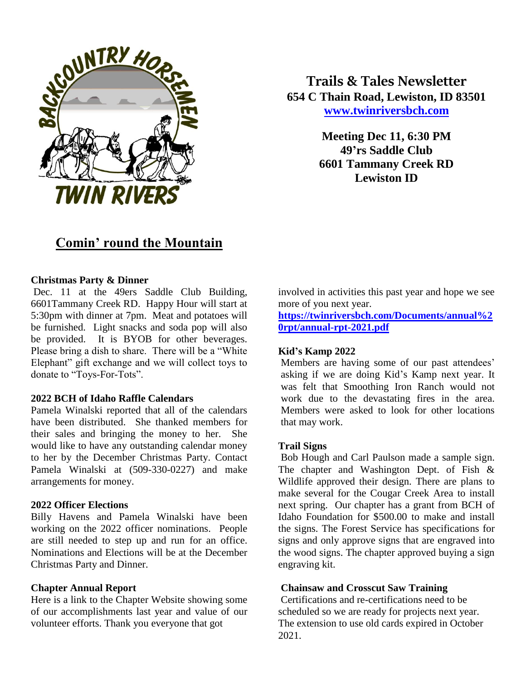

**Trails & Tales Newsletter 654 C Thain Road, Lewiston, ID 83501 [www.twinriversbch.com](http://www.twinriversbch.com/)**

> **Meeting Dec 11, 6:30 PM 49'rs Saddle Club 6601 Tammany Creek RD Lewiston ID**

# **Comin' round the Mountain**

# **Christmas Party & Dinner**

Dec. 11 at the 49ers Saddle Club Building, 6601Tammany Creek RD. Happy Hour will start at 5:30pm with dinner at 7pm. Meat and potatoes will be furnished. Light snacks and soda pop will also be provided. It is BYOB for other beverages. Please bring a dish to share. There will be a "White Elephant" gift exchange and we will collect toys to donate to "Toys-For-Tots".

# **2022 BCH of Idaho Raffle Calendars**

Pamela Winalski reported that all of the calendars have been distributed. She thanked members for their sales and bringing the money to her. She would like to have any outstanding calendar money to her by the December Christmas Party. Contact Pamela Winalski at (509-330-0227) and make arrangements for money.

#### **2022 Officer Elections**

Billy Havens and Pamela Winalski have been working on the 2022 officer nominations. People are still needed to step up and run for an office. Nominations and Elections will be at the December Christmas Party and Dinner.

#### **Chapter Annual Report**

Here is a link to the Chapter Website showing some of our accomplishments last year and value of our volunteer efforts. Thank you everyone that got

involved in activities this past year and hope we see more of you next year.

**[https://twinriversbch.com/Documents/annual%2](https://twinriversbch.com/Documents/annual%20rpt/annual-rpt-2021.pdf) [0rpt/annual-rpt-2021.pdf](https://twinriversbch.com/Documents/annual%20rpt/annual-rpt-2021.pdf)**

#### **Kid's Kamp 2022**

Members are having some of our past attendees' asking if we are doing Kid's Kamp next year. It was felt that Smoothing Iron Ranch would not work due to the devastating fires in the area. Members were asked to look for other locations that may work.

# **Trail Signs**

Bob Hough and Carl Paulson made a sample sign. The chapter and Washington Dept. of Fish  $\&$ Wildlife approved their design. There are plans to make several for the Cougar Creek Area to install next spring. Our chapter has a grant from BCH of Idaho Foundation for \$500.00 to make and install the signs. The Forest Service has specifications for signs and only approve signs that are engraved into the wood signs. The chapter approved buying a sign engraving kit.

#### **Chainsaw and Crosscut Saw Training**

Certifications and re-certifications need to be scheduled so we are ready for projects next year. The extension to use old cards expired in October 2021.